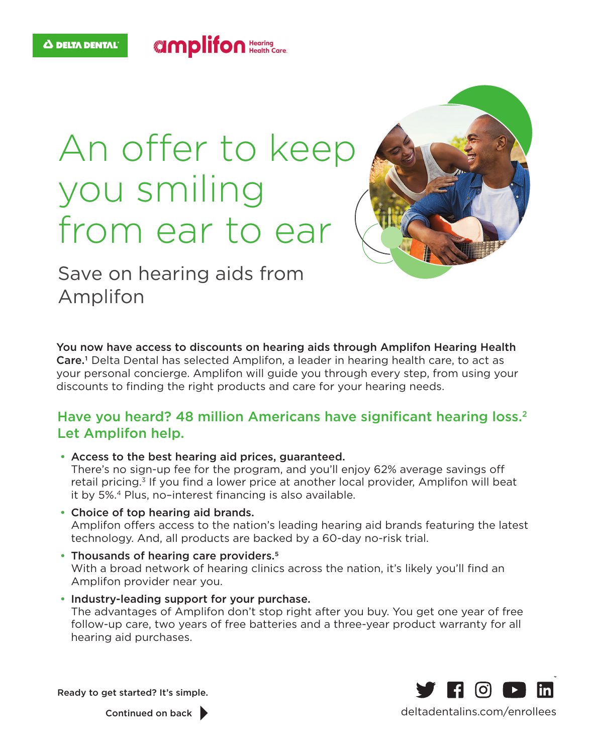## An offer to keep you smiling from ear to ear

**UMplifon** Hearing



Save on hearing aids from Amplifon

You now have access to discounts on hearing aids through Amplifon Hearing Health Care.<sup>1</sup> Delta Dental has selected Amplifon, a leader in hearing health care, to act as your personal concierge. Amplifon will guide you through every step, from using your discounts to finding the right products and care for your hearing needs.

## Have you heard? 48 million Americans have significant hearing loss.<sup>2</sup> Let Amplifon help.

- Access to the best hearing aid prices, guaranteed. There's no sign-up fee for the program, and you'll enjoy 62% average savings off retail pricing.<sup>3</sup> If you find a lower price at another local provider, Amplifon will beat it by 5%.4 Plus, no–interest financing is also available.
- Choice of top hearing aid brands. Amplifon offers access to the nation's leading hearing aid brands featuring the latest technology. And, all products are backed by a 60-day no-risk trial.
- Thousands of hearing care providers.<sup>5</sup> With a broad network of hearing clinics across the nation, it's likely you'll find an Amplifon provider near you.
- Industry-leading support for your purchase. The advantages of Amplifon don't stop right after you buy. You get one year of free follow-up care, two years of free batteries and a three-year product warranty for all hearing aid purchases.

Ready to get started? It's simple.



Continued on back

deltadentalins.com/enrollees